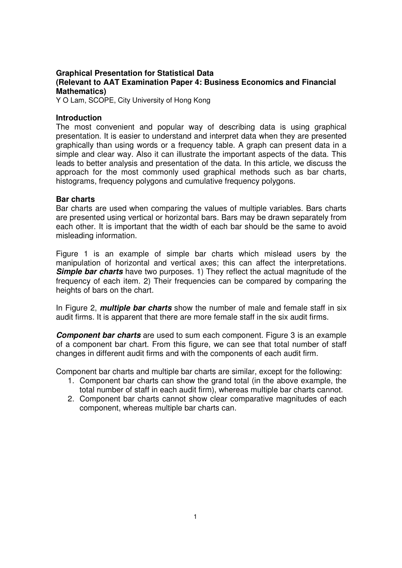# **Graphical Presentation for Statistical Data (Relevant to AAT Examination Paper 4: Business Economics and Financial Mathematics)**

Y O Lam, SCOPE, City University of Hong Kong

## **Introduction**

The most convenient and popular way of describing data is using graphical presentation. It is easier to understand and interpret data when they are presented graphically than using words or a frequency table. A graph can present data in a simple and clear way. Also it can illustrate the important aspects of the data. This leads to better analysis and presentation of the data. In this article, we discuss the approach for the most commonly used graphical methods such as bar charts, histograms, frequency polygons and cumulative frequency polygons.

### **Bar charts**

Bar charts are used when comparing the values of multiple variables. Bars charts are presented using vertical or horizontal bars. Bars may be drawn separately from each other. It is important that the width of each bar should be the same to avoid misleading information.

Figure 1 is an example of simple bar charts which mislead users by the manipulation of horizontal and vertical axes; this can affect the interpretations. **Simple bar charts** have two purposes. 1) They reflect the actual magnitude of the frequency of each item. 2) Their frequencies can be compared by comparing the heights of bars on the chart.

In Figure 2, **multiple bar charts** show the number of male and female staff in six audit firms. It is apparent that there are more female staff in the six audit firms.

**Component bar charts** are used to sum each component. Figure 3 is an example of a component bar chart. From this figure, we can see that total number of staff changes in different audit firms and with the components of each audit firm.

Component bar charts and multiple bar charts are similar, except for the following:

- 1. Component bar charts can show the grand total (in the above example, the total number of staff in each audit firm), whereas multiple bar charts cannot.
- 2. Component bar charts cannot show clear comparative magnitudes of each component, whereas multiple bar charts can.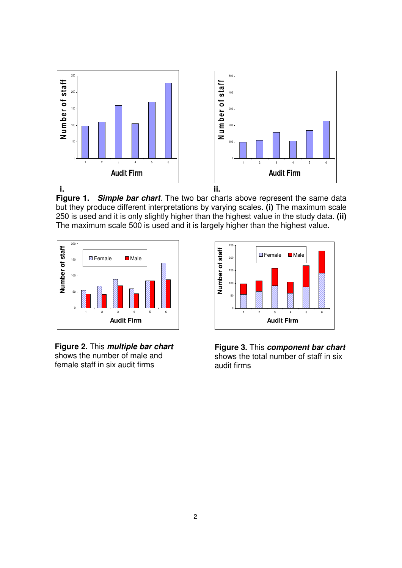

**Figure 1. Simple bar chart**. The two bar charts above represent the same data but they produce different interpretations by varying scales. **(i)** The maximum scale 250 is used and it is only slightly higher than the highest value in the study data. **(ii)**  The maximum scale 500 is used and it is largely higher than the highest value.



**Figure 2.** This **multiple bar chart** shows the number of male and female staff in six audit firms



**Figure 3.** This **component bar chart** shows the total number of staff in six audit firms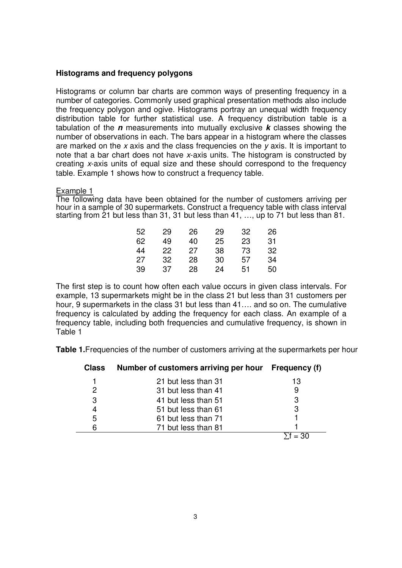# **Histograms and frequency polygons**

Histograms or column bar charts are common ways of presenting frequency in a number of categories. Commonly used graphical presentation methods also include the frequency polygon and ogive. Histograms portray an unequal width frequency distribution table for further statistical use. A frequency distribution table is a tabulation of the **n** measurements into mutually exclusive **k** classes showing the number of observations in each. The bars appear in a histogram where the classes are marked on the x axis and the class frequencies on the  $y$  axis. It is important to note that a bar chart does not have x-axis units. The histogram is constructed by creating x-axis units of equal size and these should correspond to the frequency table. Example 1 shows how to construct a frequency table.

### Example 1

The following data have been obtained for the number of customers arriving per hour in a sample of 30 supermarkets. Construct a frequency table with class interval starting from 21 but less than 31, 31 but less than 41, …, up to 71 but less than 81.

| 52 | 29 | 26 | 29 | 32 | 26 |
|----|----|----|----|----|----|
| 62 | 49 | 40 | 25 | 23 | 31 |
| 44 | 22 | 27 | 38 | 73 | 32 |
| 27 | 32 | 28 | 30 | 57 | 34 |
| 39 | 37 | 28 | 24 | 51 | 50 |

The first step is to count how often each value occurs in given class intervals. For example, 13 supermarkets might be in the class 21 but less than 31 customers per hour, 9 supermarkets in the class 31 but less than 41…. and so on. The cumulative frequency is calculated by adding the frequency for each class. An example of a frequency table, including both frequencies and cumulative frequency, is shown in Table 1

**Table 1.** Frequencies of the number of customers arriving at the supermarkets per hour

| <b>Class</b> | Number of customers arriving per hour | <b>Frequency (f)</b> |  |
|--------------|---------------------------------------|----------------------|--|
|              | 21 but less than 31                   | 13                   |  |
| 2            | 31 but less than 41                   |                      |  |
| 3            | 41 but less than 51                   | 3                    |  |
|              | 51 but less than 61                   |                      |  |
| 5            | 61 but less than 71                   |                      |  |
| 6            | 71 but less than 81                   |                      |  |
|              |                                       |                      |  |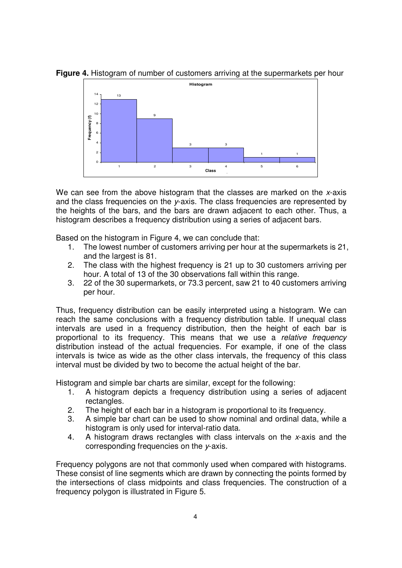**Figure 4.** Histogram of number of customers arriving at the supermarkets per hour



We can see from the above histogram that the classes are marked on the x-axis and the class frequencies on the y-axis. The class frequencies are represented by the heights of the bars, and the bars are drawn adjacent to each other. Thus, a histogram describes a frequency distribution using a series of adjacent bars.

Based on the histogram in Figure 4, we can conclude that:

- 1. The lowest number of customers arriving per hour at the supermarkets is 21, and the largest is 81.
- 2. The class with the highest frequency is 21 up to 30 customers arriving per hour. A total of 13 of the 30 observations fall within this range.
- 3. 22 of the 30 supermarkets, or 73.3 percent, saw 21 to 40 customers arriving per hour.

Thus, frequency distribution can be easily interpreted using a histogram. We can reach the same conclusions with a frequency distribution table. If unequal class intervals are used in a frequency distribution, then the height of each bar is proportional to its frequency. This means that we use a relative frequency distribution instead of the actual frequencies. For example, if one of the class intervals is twice as wide as the other class intervals, the frequency of this class interval must be divided by two to become the actual height of the bar.

Histogram and simple bar charts are similar, except for the following:

- 1. A histogram depicts a frequency distribution using a series of adjacent rectangles.
- 2. The height of each bar in a histogram is proportional to its frequency.
- 3. A simple bar chart can be used to show nominal and ordinal data, while a histogram is only used for interval-ratio data.
- 4. A histogram draws rectangles with class intervals on the x-axis and the corresponding frequencies on the y-axis.

Frequency polygons are not that commonly used when compared with histograms. These consist of line segments which are drawn by connecting the points formed by the intersections of class midpoints and class frequencies. The construction of a frequency polygon is illustrated in Figure 5.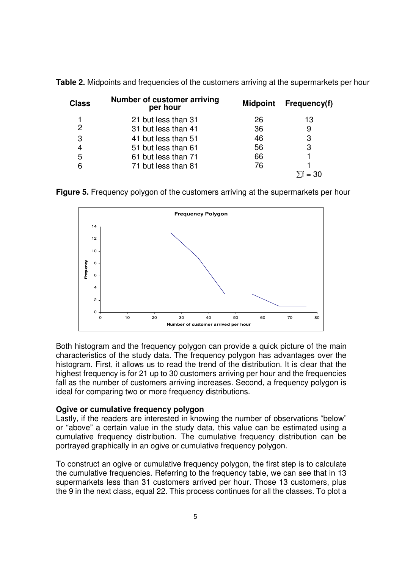| <b>Class</b> | Number of customer arriving<br>per hour | <b>Midpoint</b> | Frequency(f) |
|--------------|-----------------------------------------|-----------------|--------------|
|              | 21 but less than 31                     | 26              | 13           |
| 2            | 31 but less than 41                     | 36              | 9            |
| 3            | 41 but less than 51                     | 46              | 3            |
| 4            | 51 but less than 61                     | 56              | 3            |
| 5            | 61 but less than 71                     | 66              |              |
| 6            | 71 but less than 81                     | 76              |              |
|              |                                         |                 | $= 30$       |

**Table 2.** Midpoints and frequencies of the customers arriving at the supermarkets per hour

**Figure 5.** Frequency polygon of the customers arriving at the supermarkets per hour



Both histogram and the frequency polygon can provide a quick picture of the main characteristics of the study data. The frequency polygon has advantages over the histogram. First, it allows us to read the trend of the distribution. It is clear that the highest frequency is for 21 up to 30 customers arriving per hour and the frequencies fall as the number of customers arriving increases. Second, a frequency polygon is ideal for comparing two or more frequency distributions.

# **Ogive or cumulative frequency polygon**

Lastly, if the readers are interested in knowing the number of observations "below" or "above" a certain value in the study data, this value can be estimated using a cumulative frequency distribution. The cumulative frequency distribution can be portrayed graphically in an ogive or cumulative frequency polygon.

To construct an ogive or cumulative frequency polygon, the first step is to calculate the cumulative frequencies. Referring to the frequency table, we can see that in 13 supermarkets less than 31 customers arrived per hour. Those 13 customers, plus the 9 in the next class, equal 22. This process continues for all the classes. To plot a